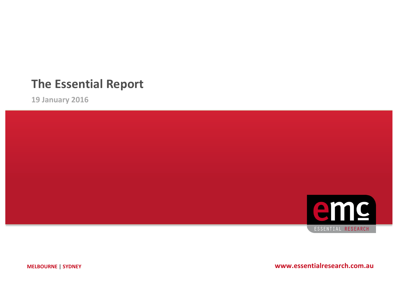# **The Essential Report**

**19 January 2016**



**MELBOURNE** | SYDNEY **WWW.essentialresearch.com.au**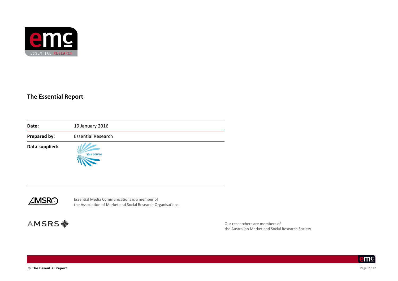

#### **The Essential Report**

| Date:          | 19 January 2016           |  |
|----------------|---------------------------|--|
| Prepared by:   | <b>Essential Research</b> |  |
| Data supplied: | your source               |  |



Essential Media Communications is a member of the Association of Market and Social Research Organisations.

# **AMSRS \***

Our researchers are members of the Australian Market and Social Research Society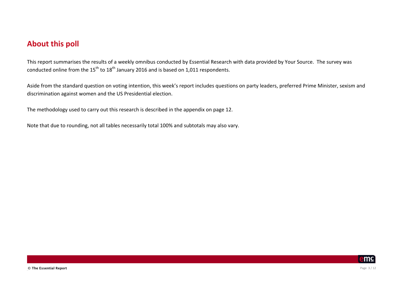#### **About this poll**

This report summarises the results of a weekly omnibus conducted by Essential Research with data provided by Your Source. The survey was conducted online from the  $15<sup>th</sup>$  to  $18<sup>th</sup>$  January 2016 and is based on 1,011 respondents.

Aside from the standard question on voting intention, this week's report includes questions on party leaders, preferred Prime Minister, sexism and discrimination against women and the US Presidential election.

The methodology used to carry out this research is described in the appendix on page 12.

Note that due to rounding, not all tables necessarily total 100% and subtotals may also vary.

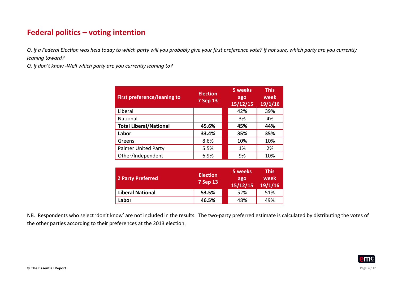# **Federal politics - voting intention**

*Q.* If a Federal Election was held today to which party will you probably give your first preference vote? If not sure, which party are you currently *leaning toward?*

*Q. If don't know -Well which party are you currently leaning to?*

| <b>First preference/leaning to</b> | <b>Election</b><br><b>7 Sep 13</b> | 5 weeks<br>ago<br>15/12/15 | <b>This</b><br>week<br>19/1/16 |
|------------------------------------|------------------------------------|----------------------------|--------------------------------|
| Liberal                            |                                    | 42%                        | 39%                            |
| National                           |                                    | 3%                         | 4%                             |
| <b>Total Liberal/National</b>      | 45.6%                              | 45%                        | 44%                            |
| Labor                              | 33.4%                              | 35%                        | 35%                            |
| Greens                             | 8.6%                               | 10%                        | 10%                            |
| <b>Palmer United Party</b>         | 5.5%                               | 1%                         | 2%                             |
| Other/Independent                  | 6.9%                               | 9%                         | 10%                            |

| 2 Party Preferred       | <b>Election</b><br><b>7 Sep 13</b> | 5 weeks<br>ago<br>15/12/15 | <b>This</b><br>week<br>19/1/16 |
|-------------------------|------------------------------------|----------------------------|--------------------------------|
| <b>Liberal National</b> | 53.5%                              | 52%                        | 51%                            |
| Labor                   | 46.5%                              | 48%                        | 49%                            |

NB. Respondents who select 'don't know' are not included in the results. The two-party preferred estimate is calculated by distributing the votes of the other parties according to their preferences at the 2013 election.

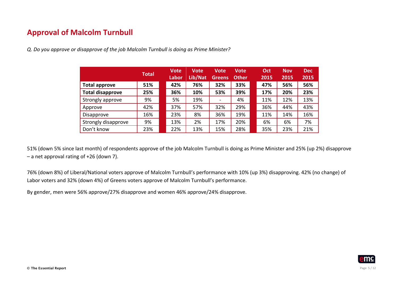# **Approval of Malcolm Turnbull**

*Q. Do you approve or disapprove of the job Malcolm Turnbull is doing as Prime Minister?*

|                         | <b>Total</b> | <b>Vote</b><br><b>Labor</b> | <b>Vote</b><br>Lib/Nat | <b>Vote</b><br>Greens | <b>Vote</b><br><b>Other</b> | Oct<br>2015 | <b>Nov</b><br>2015 | <b>Dec</b><br>2015 |
|-------------------------|--------------|-----------------------------|------------------------|-----------------------|-----------------------------|-------------|--------------------|--------------------|
| <b>Total approve</b>    | 51%          | 42%                         | 76%                    | 32%                   | 33%                         | 47%         | 56%                | 56%                |
| <b>Total disapprove</b> | 25%          | 36%                         | 10%                    | 53%                   | 39%                         | 17%         | 20%                | 23%                |
| Strongly approve        | 9%           | 5%                          | 19%                    |                       | 4%                          | 11%         | 12%                | 13%                |
| Approve                 | 42%          | 37%                         | 57%                    | 32%                   | 29%                         | 36%         | 44%                | 43%                |
| Disapprove              | 16%          | 23%                         | 8%                     | 36%                   | 19%                         | 11%         | 14%                | 16%                |
| Strongly disapprove     | 9%           | 13%                         | 2%                     | 17%                   | 20%                         | 6%          | 6%                 | 7%                 |
| Don't know              | 23%          | 22%                         | 13%                    | 15%                   | 28%                         | 35%         | 23%                | 21%                |

51% (down 5% since last month) of respondents approve of the job Malcolm Turnbull is doing as Prime Minister and 25% (up 2%) disapprove  $-$  a net approval rating of  $+26$  (down 7).

76% (down 8%) of Liberal/National voters approve of Malcolm Turnbull's performance with 10% (up 3%) disapproving. 42% (no change) of Labor voters and 32% (down 4%) of Greens voters approve of Malcolm Turnbull's performance.

By gender, men were 56% approve/27% disapprove and women 46% approve/24% disapprove.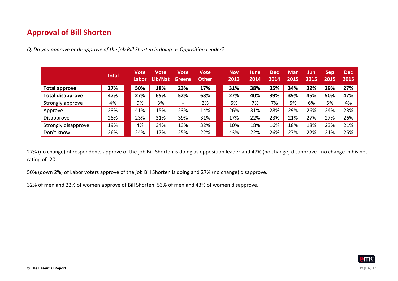# **Approval of Bill Shorten**

*Q. Do you approve or disapprove of the job Bill Shorten is doing as Opposition Leader?*

|                         | <b>Total</b> | <b>Vote</b><br>Labor | Vote<br>Lib/Nat | Vote<br>Greens           | Vote<br><b>Other</b> | <b>Nov</b><br>2013 | June<br>2014 | <b>Dec</b><br>2014 | <b>Mar</b><br>2015 | Jun<br>2015 | <b>Sep</b><br>2015 | <b>Dec</b><br>2015 |
|-------------------------|--------------|----------------------|-----------------|--------------------------|----------------------|--------------------|--------------|--------------------|--------------------|-------------|--------------------|--------------------|
| <b>Total approve</b>    | 27%          | 50%                  | 18%             | 23%                      | 17%                  | 31%                | 38%          | 35%                | 34%                | 32%         | 29%                | 27%                |
| <b>Total disapprove</b> | 47%          | 27%                  | 65%             | 52%                      | 63%                  | 27%                | 40%          | 39%                | 39%                | 45%         | 50%                | 47%                |
| Strongly approve        | 4%           | 9%                   | 3%              | $\overline{\phantom{a}}$ | 3%                   | 5%                 | 7%           | 7%                 | 5%                 | 6%          | 5%                 | 4%                 |
| Approve                 | 23%          | 41%                  | 15%             | 23%                      | 14%                  | 26%                | 31%          | 28%                | 29%                | 26%         | 24%                | 23%                |
| Disapprove              | 28%          | 23%                  | 31%             | 39%                      | 31%                  | 17%                | 22%          | 23%                | 21%                | 27%         | 27%                | 26%                |
| Strongly disapprove     | 19%          | 4%                   | 34%             | 13%                      | 32%                  | 10%                | 18%          | 16%                | 18%                | 18%         | 23%                | 21%                |
| Don't know              | 26%          | 24%                  | 17%             | 25%                      | 22%                  | 43%                | 22%          | 26%                | 27%                | 22%         | 21%                | 25%                |

27% (no change) of respondents approve of the job Bill Shorten is doing as opposition leader and 47% (no change) disapprove - no change in his net rating of -20.

50% (down 2%) of Labor voters approve of the job Bill Shorten is doing and 27% (no change) disapprove.

32% of men and 22% of women approve of Bill Shorten. 53% of men and 43% of women disapprove.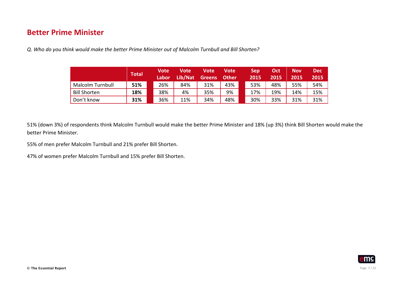#### **Better Prime Minister**

*Q. Who do you think would make the better Prime Minister out of Malcolm Turnbull and Bill Shorten?*

|                     | Total | Vote<br>Labor | Vote<br>Lib/Nat | Vote<br><b>Greens</b> | Vote<br><b>Other</b> | 'Sep<br>2015 | Oct<br>2015 | Nov<br>2015 | Dec<br>2015 |
|---------------------|-------|---------------|-----------------|-----------------------|----------------------|--------------|-------------|-------------|-------------|
| Malcolm Turnbull    | 51%   | 26%           | 84%             | 31%                   | 43%                  | 53%          | 48%         | 55%         | 54%         |
| <b>Bill Shorten</b> | 18%   | 38%           | 4%              | 35%                   | 9%                   | 17%          | 19%         | 14%         | 15%         |
| Don't know          | 31%   | 36%           | 11%             | 34%                   | 48%                  | 30%          | 33%         | 31%         | 31%         |

51% (down 3%) of respondents think Malcolm Turnbull would make the better Prime Minister and 18% (up 3%) think Bill Shorten would make the better Prime Minister. 

55% of men prefer Malcolm Turnbull and 21% prefer Bill Shorten.

47% of women prefer Malcolm Turnbull and 15% prefer Bill Shorten.

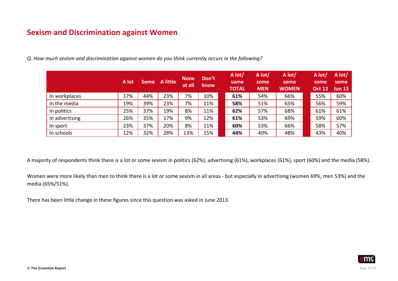# **Sexism and Discrimination against Women**

|                | A lot | <b>Some</b> | <b>A</b> little | <b>None</b><br>at all | Don't<br><b>know</b> | A lot/<br>some<br><b>TOTAL</b> | A lot/<br>some<br><b>MEN</b> | A lot/<br>some<br><b>WOMEN</b> | A lot/<br>some<br><b>Oct 12</b> | A lot/<br>some<br>Jun 13 |
|----------------|-------|-------------|-----------------|-----------------------|----------------------|--------------------------------|------------------------------|--------------------------------|---------------------------------|--------------------------|
| In workplaces  | 17%   | 44%         | 23%             | 7%                    | 10%                  | 61%                            | 54%                          | 66%                            | 55%                             | 60%                      |
| In the media   | 19%   | 39%         | 23%             | 7%                    | 11%                  | 58%                            | 51%                          | 65%                            | 56%                             | 59%                      |
| In politics    | 25%   | 37%         | 19%             | 8%                    | 11%                  | 62%                            | 57%                          | 68%                            | 61%                             | 61%                      |
| In advertising | 26%   | 35%         | 17%             | 9%                    | 12%                  | 61%                            | 53%                          | 69%                            | 59%                             | 60%                      |
| In sport       | 23%   | 37%         | 20%             | 8%                    | 11%                  | 60%                            | 53%                          | 66%                            | 58%                             | 57%                      |
| In schools     | 12%   | 32%         | 28%             | 13%                   | 15%                  | 44%                            | 40%                          | 48%                            | 43%                             | 40%                      |

*Q. How much sexism and discrimination against women do you think currently occurs in the following?*

A majority of respondents think there is a lot or some sexism in politics (62%), advertising (61%), workplaces (61%), sport (60%) and the media (58%).

Women were more likely than men to think there is a lot or some sexism in all areas - but especially in advertising (women 69%, men 53%) and the media (65%/51%).

There has been little change in these figures since this question was asked in June 2013.

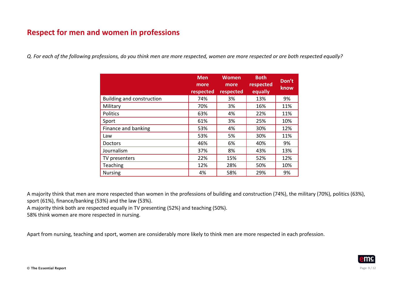## **Respect for men and women in professions**

*Q. For each of the following professions, do you think men are more respected, women are more respected or are both respected equally?*

|                           | <b>Men</b><br>more<br>respected | <b>Women</b><br>more<br>respected | <b>Both</b><br>respected<br>equally | Don't<br>know |
|---------------------------|---------------------------------|-----------------------------------|-------------------------------------|---------------|
| Building and construction | 74%                             | 3%                                | 13%                                 | 9%            |
| Military                  | 70%                             | 3%                                | 16%                                 | 11%           |
| Politics                  | 63%                             | 4%                                | 22%                                 | 11%           |
| Sport                     | 61%                             | 3%                                | 25%                                 | 10%           |
| Finance and banking       | 53%                             | 4%                                | 30%                                 | 12%           |
| Law                       | 53%                             | 5%                                | 30%                                 | 11%           |
| Doctors                   | 46%                             | 6%                                | 40%                                 | 9%            |
| Journalism                | 37%                             | 8%                                | 43%                                 | 13%           |
| TV presenters             | 22%                             | 15%                               | 52%                                 | 12%           |
| <b>Teaching</b>           | 12%                             | 28%                               | 50%                                 | 10%           |
| <b>Nursing</b>            | 4%                              | 58%                               | 29%                                 | 9%            |

A majority think that men are more respected than women in the professions of building and construction (74%), the military (70%), politics (63%), sport (61%), finance/banking (53%) and the law (53%).

A majority think both are respected equally in TV presenting (52%) and teaching (50%).

58% think women are more respected in nursing.

Apart from nursing, teaching and sport, women are considerably more likely to think men are more respected in each profession.

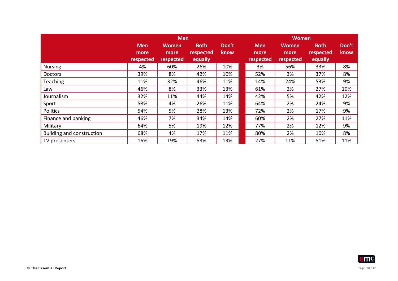|                           |                                 | <b>Men</b>                        |                                     |               |                                 | <b>Women</b>                      |                                     |                |
|---------------------------|---------------------------------|-----------------------------------|-------------------------------------|---------------|---------------------------------|-----------------------------------|-------------------------------------|----------------|
|                           | <b>Men</b><br>more<br>respected | <b>Women</b><br>more<br>respected | <b>Both</b><br>respected<br>equally | Don't<br>know | <b>Men</b><br>more<br>respected | <b>Women</b><br>more<br>respected | <b>Both</b><br>respected<br>equally | Don't<br>know, |
| <b>Nursing</b>            | 4%                              | 60%                               | 26%                                 | 10%           | 3%                              | 56%                               | 33%                                 | 8%             |
| <b>Doctors</b>            | 39%                             | 8%                                | 42%                                 | 10%           | 52%                             | 3%                                | 37%                                 | 8%             |
| Teaching                  | 11%                             | 32%                               | 46%                                 | 11%           | 14%                             | 24%                               | 53%                                 | 9%             |
| Law                       | 46%                             | 8%                                | 33%                                 | 13%           | 61%                             | 2%                                | 27%                                 | 10%            |
| Journalism                | 32%                             | 11%                               | 44%                                 | 14%           | 42%                             | 5%                                | 42%                                 | 12%            |
| Sport                     | 58%                             | 4%                                | 26%                                 | 11%           | 64%                             | 2%                                | 24%                                 | 9%             |
| Politics                  | 54%                             | 5%                                | 28%                                 | 13%           | 72%                             | 2%                                | 17%                                 | 9%             |
| Finance and banking       | 46%                             | 7%                                | 34%                                 | 14%           | 60%                             | 2%                                | 27%                                 | 11%            |
| Military                  | 64%                             | 5%                                | 19%                                 | 12%           | 77%                             | 2%                                | 12%                                 | 9%             |
| Building and construction | 68%                             | 4%                                | 17%                                 | 11%           | 80%                             | 2%                                | 10%                                 | 8%             |
| TV presenters             | 16%                             | 19%                               | 53%                                 | 13%           | 27%                             | 11%                               | 51%                                 | 11%            |

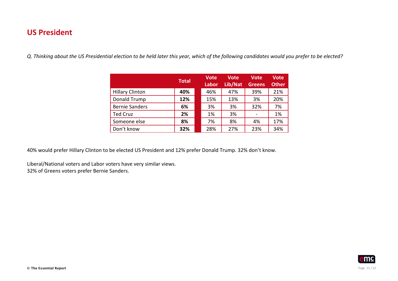#### **US President**

Q. Thinking about the US Presidential election to be held later this year, which of the following candidates would you prefer to be elected?

|                        | <b>Total</b> | <b>Vote</b><br><b>Labor</b> | <b>Vote</b><br>Lib/Nat | <b>Vote</b><br>Greens | <b>Vote</b><br><b>Other</b> |
|------------------------|--------------|-----------------------------|------------------------|-----------------------|-----------------------------|
| <b>Hillary Clinton</b> | 40%          | 46%                         | 47%                    | 39%                   | 21%                         |
| Donald Trump           | 12%          | 15%                         | 13%                    | 3%                    | 20%                         |
| <b>Bernie Sanders</b>  | 6%           | 3%                          | 3%                     | 32%                   | 7%                          |
| <b>Ted Cruz</b>        | 2%           | 1%                          | 3%                     |                       | 1%                          |
| Someone else           | 8%           | 7%                          | 8%                     | 4%                    | 17%                         |
| Don't know             | 32%          | 28%                         | 27%                    | 23%                   | 34%                         |

40% would prefer Hillary Clinton to be elected US President and 12% prefer Donald Trump. 32% don't know.

Liberal/National voters and Labor voters have very similar views. 32% of Greens voters prefer Bernie Sanders.